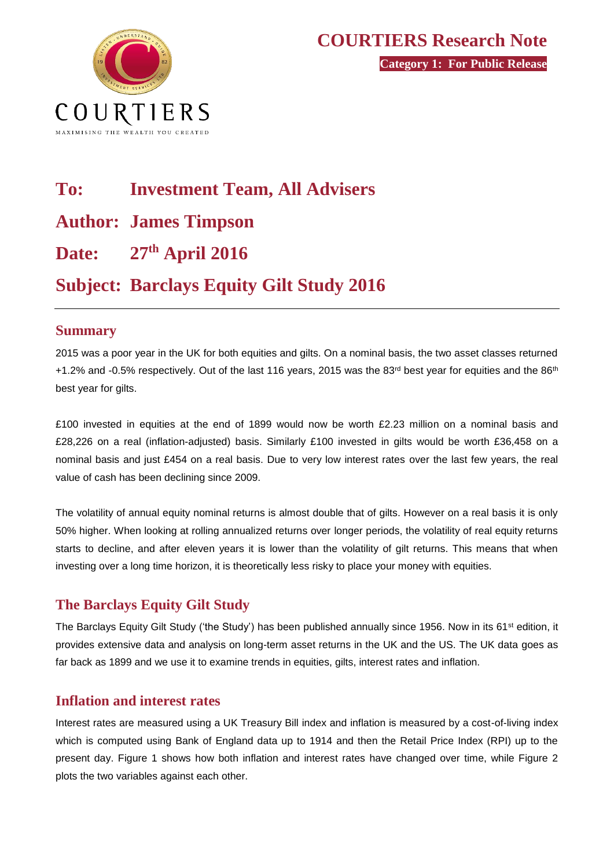

# **To: Investment Team, All Advisers Author: James Timpson Date: 27th April 2016 Subject: Barclays Equity Gilt Study 2016**

#### **Summary**

2015 was a poor year in the UK for both equities and gilts. On a nominal basis, the two asset classes returned +1.2% and -0.5% respectively. Out of the last 116 years, 2015 was the 83<sup>rd</sup> best year for equities and the 86<sup>th</sup> best year for gilts.

£100 invested in equities at the end of 1899 would now be worth £2.23 million on a nominal basis and £28,226 on a real (inflation-adjusted) basis. Similarly £100 invested in gilts would be worth £36,458 on a nominal basis and just £454 on a real basis. Due to very low interest rates over the last few years, the real value of cash has been declining since 2009.

The volatility of annual equity nominal returns is almost double that of gilts. However on a real basis it is only 50% higher. When looking at rolling annualized returns over longer periods, the volatility of real equity returns starts to decline, and after eleven years it is lower than the volatility of gilt returns. This means that when investing over a long time horizon, it is theoretically less risky to place your money with equities.

#### **The Barclays Equity Gilt Study**

The Barclays Equity Gilt Study ('the Study') has been published annually since 1956. Now in its 61<sup>st</sup> edition, it provides extensive data and analysis on long-term asset returns in the UK and the US. The UK data goes as far back as 1899 and we use it to examine trends in equities, gilts, interest rates and inflation.

#### **Inflation and interest rates**

Interest rates are measured using a UK Treasury Bill index and inflation is measured by a cost-of-living index which is computed using Bank of England data up to 1914 and then the Retail Price Index (RPI) up to the present day. Figure 1 shows how both inflation and interest rates have changed over time, while Figure 2 plots the two variables against each other.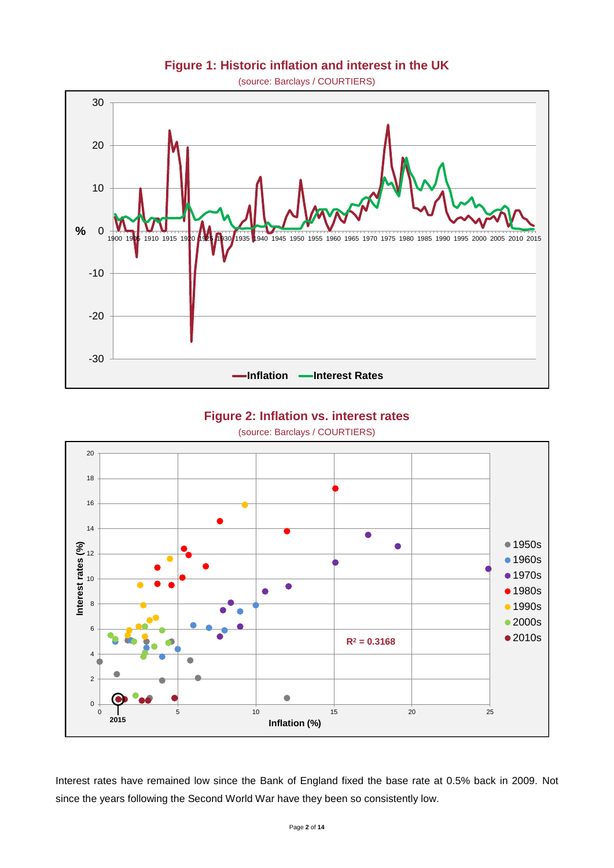

#### **Figure 1: Historic inflation and interest in the UK**

(source: Barclays / COURTIERS) **Historic inflation & interest**

# **Figure 2: Inflation vs. interest rates**

(source: Barclays / COURTIERS) 0 2 4 6 8 10 12 14 16 18 20  $\frac{1}{2}$ <br>  $\frac{1}{2}$ <br>  $\frac{1}{2}$ <br>  $\frac{1}{2}$ <br>  $\frac{1}{2}$ <br>  $\frac{1}{2}$ <br>  $\frac{1}{2}$ <br>  $\frac{1}{2}$ <br>  $\frac{1}{2}$ <br>  $\frac{1}{2}$ <br>  $\frac{1}{2}$ <br>  $\frac{1}{2}$ <br>  $\frac{1}{2}$ <br>  $\frac{1}{2}$ <br>  $\frac{1}{2}$ <br>  $\frac{1}{2}$ <br>  $\frac{1}{2}$ <br>  $\frac{1}{2}$ <br>  $\frac{1}{2}$ <br>  $\frac{1}{2}$ <br> **Inflation (%)** ● 1950s •1960s • 1970s ● 1980s **1990s** ● 2000s ● 2010s **2015 R<sup>2</sup> = 0.3168**

Interest rates have remained low since the Bank of England fixed the base rate at 0.5% back in 2009. Not since the years following the Second World War have they been so consistently low.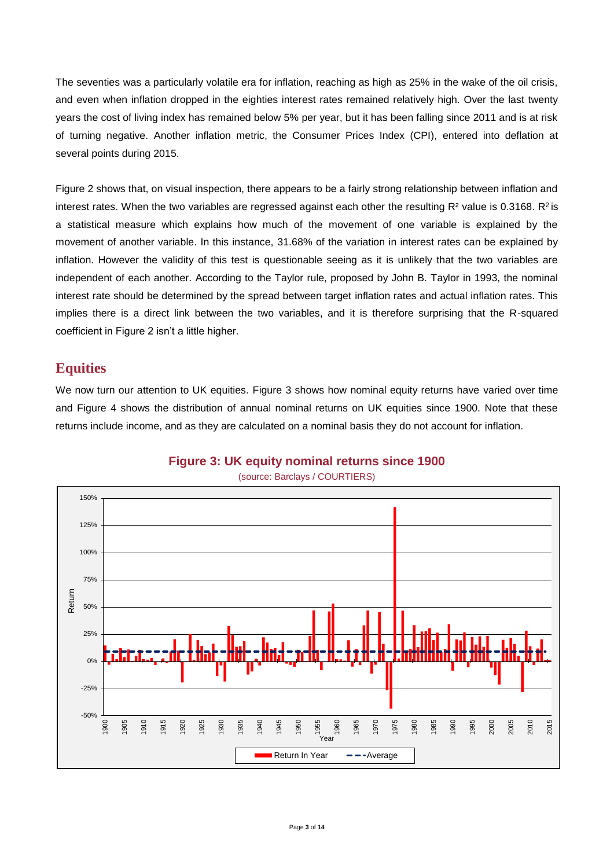The seventies was a particularly volatile era for inflation, reaching as high as 25% in the wake of the oil crisis, and even when inflation dropped in the eighties interest rates remained relatively high. Over the last twenty years the cost of living index has remained below 5% per year, but it has been falling since 2011 and is at risk of turning negative. Another inflation metric, the Consumer Prices Index (CPI), entered into deflation at several points during 2015.

Figure 2 shows that, on visual inspection, there appears to be a fairly strong relationship between inflation and interest rates. When the two variables are regressed against each other the resulting  $R^2$  value is 0.3168.  $R^2$  is a statistical measure which explains how much of the movement of one variable is explained by the movement of another variable. In this instance, 31.68% of the variation in interest rates can be explained by inflation. However the validity of this test is questionable seeing as it is unlikely that the two variables are independent of each another. According to the Taylor rule, proposed by John B. Taylor in 1993, the nominal interest rate should be determined by the spread between target inflation rates and actual inflation rates. This implies there is a direct link between the two variables, and it is therefore surprising that the R-squared coefficient in Figure 2 isn't a little higher.

#### **Equities**

We now turn our attention to UK equities. Figure 3 shows how nominal equity returns have varied over time and Figure 4 shows the distribution of annual nominal returns on UK equities since 1900. Note that these returns include income, and as they are calculated on a nominal basis they do not account for inflation.



**Figure 3: UK equity nominal returns since 1900**

#### (source: Barclays / COURTIERS)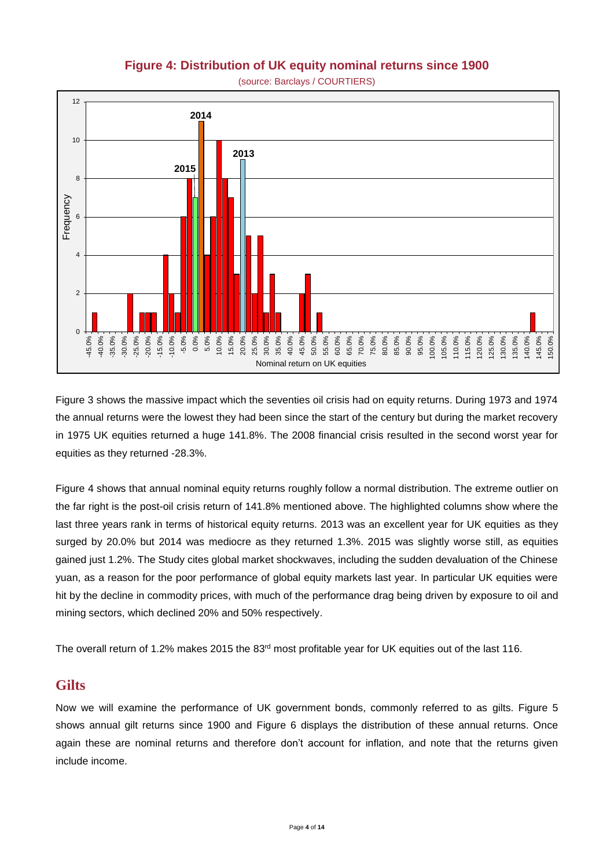#### **Figure 4: Distribution of UK equity nominal returns since 1900**



Figure 3 shows the massive impact which the seventies oil crisis had on equity returns. During 1973 and 1974 the annual returns were the lowest they had been since the start of the century but during the market recovery in 1975 UK equities returned a huge 141.8%. The 2008 financial crisis resulted in the second worst year for equities as they returned -28.3%.

Figure 4 shows that annual nominal equity returns roughly follow a normal distribution. The extreme outlier on the far right is the post-oil crisis return of 141.8% mentioned above. The highlighted columns show where the last three years rank in terms of historical equity returns. 2013 was an excellent year for UK equities as they surged by 20.0% but 2014 was mediocre as they returned 1.3%. 2015 was slightly worse still, as equities gained just 1.2%. The Study cites global market shockwaves, including the sudden devaluation of the Chinese yuan, as a reason for the poor performance of global equity markets last year. In particular UK equities were hit by the decline in commodity prices, with much of the performance drag being driven by exposure to oil and mining sectors, which declined 20% and 50% respectively.

The overall return of 1.2% makes 2015 the 83<sup>rd</sup> most profitable year for UK equities out of the last 116.

#### **Gilts**

Now we will examine the performance of UK government bonds, commonly referred to as gilts. Figure 5 shows annual gilt returns since 1900 and Figure 6 displays the distribution of these annual returns. Once again these are nominal returns and therefore don't account for inflation, and note that the returns given include income.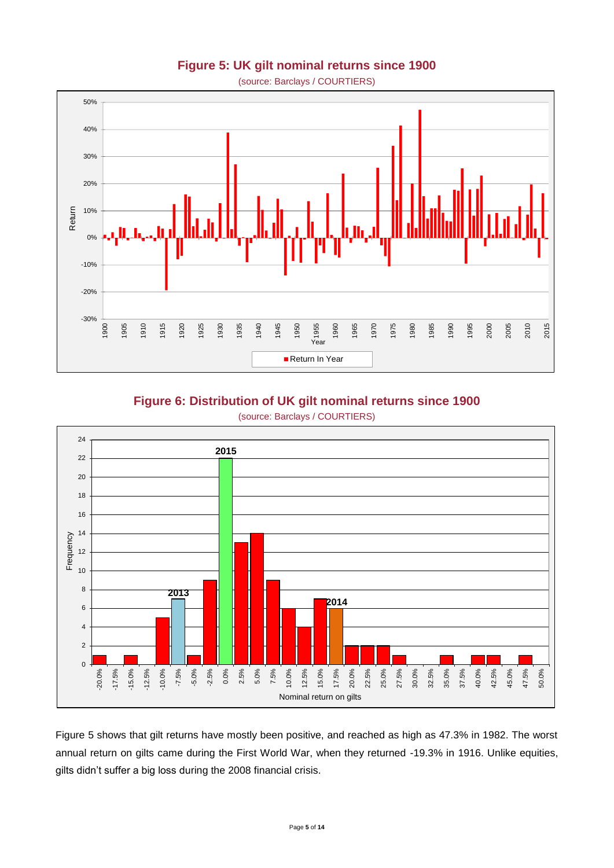# (source: Barclays / COURTIERS) -30% -20% -10% 0% 10% 20% 30% 40% 50% <sup>1900</sup> <sup>1905</sup> <sup>1910</sup> <sup>1915</sup> <sup>1920</sup> <sup>1925</sup> <sup>1930</sup> <sup>1935</sup> <sup>1940</sup> <sup>1945</sup> <sup>1950</sup> <sup>1955</sup> <sup>1960</sup> <sup>1965</sup> <sup>1970</sup> <sup>1975</sup> <sup>1980</sup> <sup>1985</sup> <sup>1990</sup> <sup>1995</sup> <sup>2000</sup> <sup>2005</sup> <sup>2010</sup> <sup>2015</sup> Return Year Return In Year

#### **Figure 5: UK gilt nominal returns since 1900**

**Figure 6: Distribution of UK gilt nominal returns since 1900**



Figure 5 shows that gilt returns have mostly been positive, and reached as high as 47.3% in 1982. The worst annual return on gilts came during the First World War, when they returned -19.3% in 1916. Unlike equities, gilts didn't suffer a big loss during the 2008 financial crisis.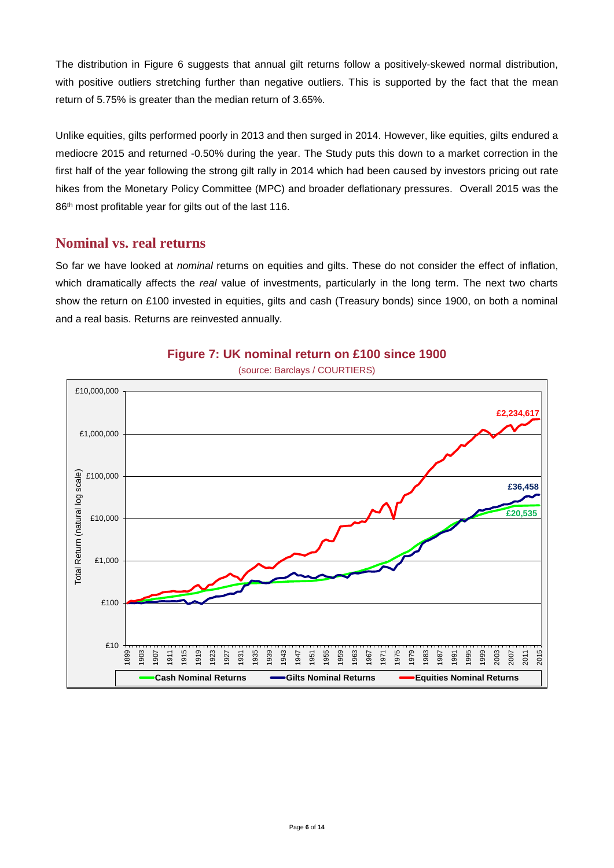The distribution in Figure 6 suggests that annual gilt returns follow a positively-skewed normal distribution, with positive outliers stretching further than negative outliers. This is supported by the fact that the mean return of 5.75% is greater than the median return of 3.65%.

Unlike equities, gilts performed poorly in 2013 and then surged in 2014. However, like equities, gilts endured a mediocre 2015 and returned -0.50% during the year. The Study puts this down to a market correction in the first half of the year following the strong gilt rally in 2014 which had been caused by investors pricing out rate hikes from the Monetary Policy Committee (MPC) and broader deflationary pressures. Overall 2015 was the 86<sup>th</sup> most profitable year for gilts out of the last 116.

#### **Nominal vs. real returns**

So far we have looked at *nominal* returns on equities and gilts. These do not consider the effect of inflation, which dramatically affects the *real* value of investments, particularly in the long term. The next two charts show the return on £100 invested in equities, gilts and cash (Treasury bonds) since 1900, on both a nominal and a real basis. Returns are reinvested annually.



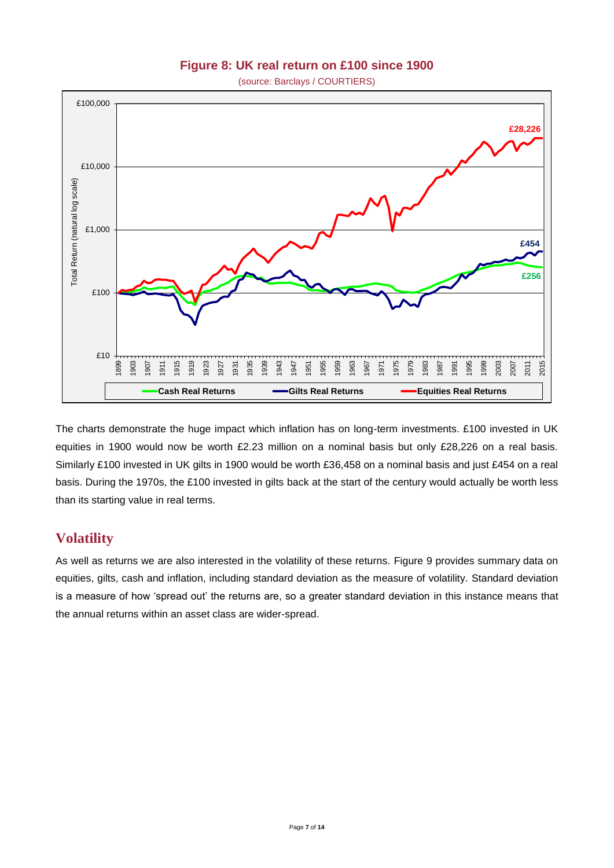#### **Figure 8: UK real return on £100 since 1900**

**(source: Barclays / COURTIERS)** 



The charts demonstrate the huge impact which inflation has on long-term investments. £100 invested in UK equities in 1900 would now be worth £2.23 million on a nominal basis but only £28,226 on a real basis. Similarly £100 invested in UK gilts in 1900 would be worth £36,458 on a nominal basis and just £454 on a real basis. During the 1970s, the £100 invested in gilts back at the start of the century would actually be worth less than its starting value in real terms.

#### **Volatility**

As well as returns we are also interested in the volatility of these returns. Figure 9 provides summary data on equities, gilts, cash and inflation, including standard deviation as the measure of volatility. Standard deviation is a measure of how 'spread out' the returns are, so a greater standard deviation in this instance means that the annual returns within an asset class are wider-spread.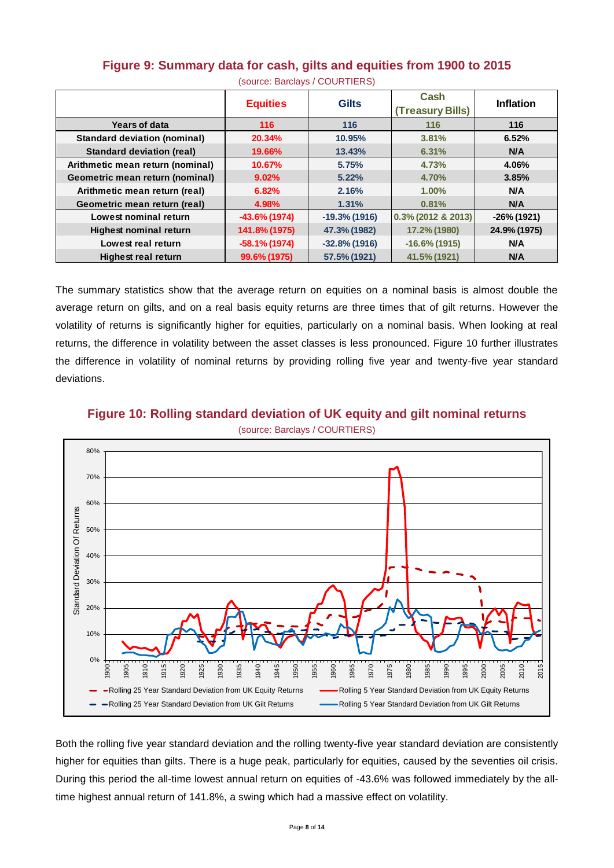|                                     | <b>Equities</b>  | <b>Gilts</b>     | Cash<br>(Treasury Bills) | <b>Inflation</b> |  |  |
|-------------------------------------|------------------|------------------|--------------------------|------------------|--|--|
| <b>Years of data</b>                | 116              | 116              | 116                      | 116              |  |  |
| <b>Standard deviation (nominal)</b> | 20.34%           | 10.95%           | 3.81%                    | 6.52%            |  |  |
| <b>Standard deviation (real)</b>    | 19.66%           | 13.43%           | 6.31%                    | <b>N/A</b>       |  |  |
| Arithmetic mean return (nominal)    | 10.67%           | 5.75%            | 4.73%                    | 4.06%            |  |  |
| Geometric mean return (nominal)     | 9.02%            | 5.22%            | 4.70%                    | 3.85%            |  |  |
| Arithmetic mean return (real)       | 6.82%            | 2.16%            | 1.00%                    | N/A              |  |  |
| Geometric mean return (real)        | 4.98%            | 1.31%            | 0.81%                    | <b>N/A</b>       |  |  |
| Lowest nominal return               | $-43.6\%$ (1974) | $-19.3\%$ (1916) | $0.3\%$ (2012 & 2013)    | $-26\%$ (1921)   |  |  |
| <b>Highest nominal return</b>       | 141.8% (1975)    | 47.3% (1982)     | 17.2% (1980)             | 24.9% (1975)     |  |  |
| Lowest real return                  | $-58.1\%$ (1974) | $-32.8\%$ (1916) | $-16.6\%$ (1915)         | <b>N/A</b>       |  |  |
| <b>Highest real return</b>          | 99.6% (1975)     | 57.5% (1921)     | 41.5% (1921)             | <b>N/A</b>       |  |  |

#### **Figure 9: Summary data for cash, gilts and equities from 1900 to 2015**

(source: Barclays / COURTIERS)

The summary statistics show that the average return on equities on a nominal basis is almost double the average return on gilts, and on a real basis equity returns are three times that of gilt returns. However the volatility of returns is significantly higher for equities, particularly on a nominal basis. When looking at real returns, the difference in volatility between the asset classes is less pronounced. Figure 10 further illustrates the difference in volatility of nominal returns by providing rolling five year and twenty-five year standard deviations.



**Figure 10: Rolling standard deviation of UK equity and gilt nominal returns**

Both the rolling five year standard deviation and the rolling twenty-five year standard deviation are consistently higher for equities than gilts. There is a huge peak, particularly for equities, caused by the seventies oil crisis. During this period the all-time lowest annual return on equities of -43.6% was followed immediately by the alltime highest annual return of 141.8%, a swing which had a massive effect on volatility.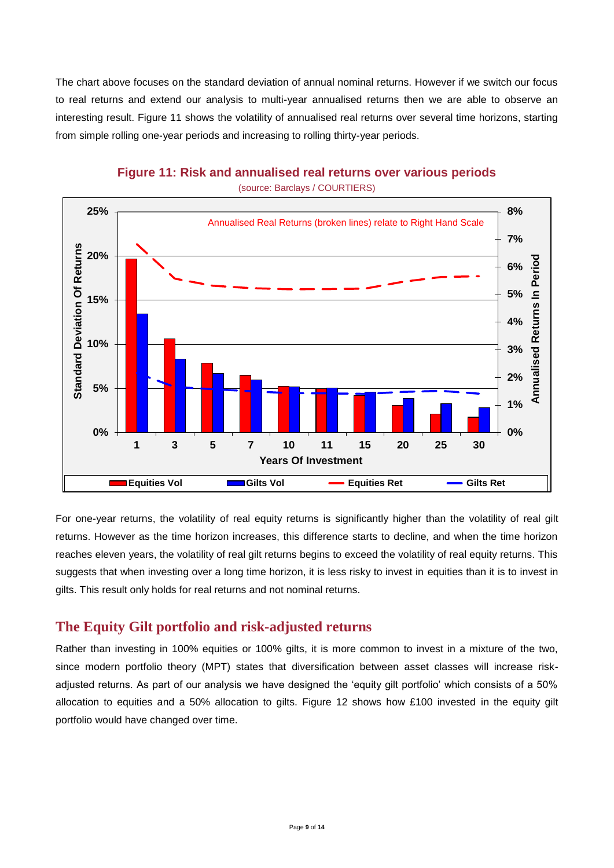The chart above focuses on the standard deviation of annual nominal returns. However if we switch our focus to real returns and extend our analysis to multi-year annualised returns then we are able to observe an interesting result. Figure 11 shows the volatility of annualised real returns over several time horizons, starting from simple rolling one-year periods and increasing to rolling thirty-year periods.



**Figure 11: Risk and annualised real returns over various periods**

For one-year returns, the volatility of real equity returns is significantly higher than the volatility of real gilt returns. However as the time horizon increases, this difference starts to decline, and when the time horizon reaches eleven years, the volatility of real gilt returns begins to exceed the volatility of real equity returns. This suggests that when investing over a long time horizon, it is less risky to invest in equities than it is to invest in gilts. This result only holds for real returns and not nominal returns.

#### **The Equity Gilt portfolio and risk-adjusted returns**

Rather than investing in 100% equities or 100% gilts, it is more common to invest in a mixture of the two, since modern portfolio theory (MPT) states that diversification between asset classes will increase riskadjusted returns. As part of our analysis we have designed the 'equity gilt portfolio' which consists of a 50% allocation to equities and a 50% allocation to gilts. Figure 12 shows how £100 invested in the equity gilt portfolio would have changed over time.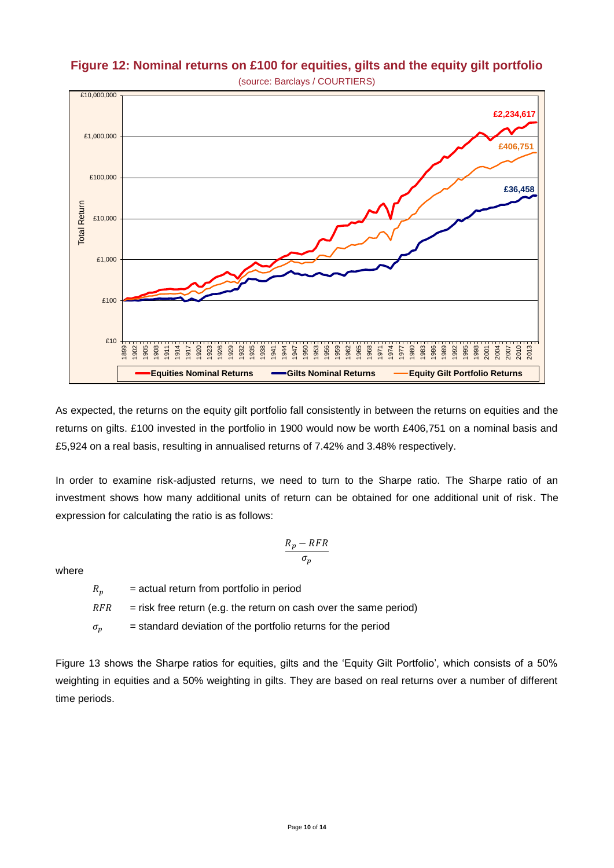

# Figure 12: Nominal returns on £100 for equities, gilts and the equity gilt portfolio (source: Barclays / COURTIERS) **equity gilt portfolio**

As expected, the returns on the equity gilt portfolio fall consistently in between the returns on equities and the returns on gilts. £100 invested in the portfolio in 1900 would now be worth £406,751 on a nominal basis and £5,924 on a real basis, resulting in annualised returns of 7.42% and 3.48% respectively.

In order to examine risk-adjusted returns, we need to turn to the Sharpe ratio. The Sharpe ratio of an investment shows how many additional units of return can be obtained for one additional unit of risk. The expression for calculating the ratio is as follows:

$$
\frac{R_p - RFR}{\sigma_p}
$$

where

 $R_n$  = actual return from portfolio in period  $RFR$  = risk free return (e.g. the return on cash over the same period)  $\sigma_n$  = standard deviation of the portfolio returns for the period

Figure 13 shows the Sharpe ratios for equities, gilts and the 'Equity Gilt Portfolio', which consists of a 50% weighting in equities and a 50% weighting in gilts. They are based on real returns over a number of different time periods.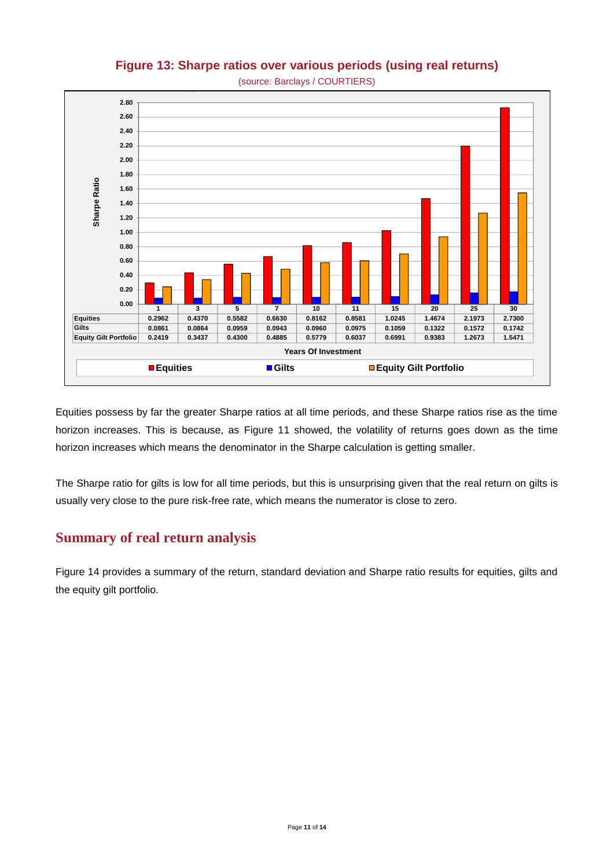

# **Figure 13: Sharpe ratios over various periods (using real returns)**

Equities possess by far the greater Sharpe ratios at all time periods, and these Sharpe ratios rise as the time horizon increases. This is because, as Figure 11 showed, the volatility of returns goes down as the time horizon increases which means the denominator in the Sharpe calculation is getting smaller.

The Sharpe ratio for gilts is low for all time periods, but this is unsurprising given that the real return on gilts is usually very close to the pure risk-free rate, which means the numerator is close to zero.

# **Summary of real return analysis**

Figure 14 provides a summary of the return, standard deviation and Sharpe ratio results for equities, gilts and the equity gilt portfolio.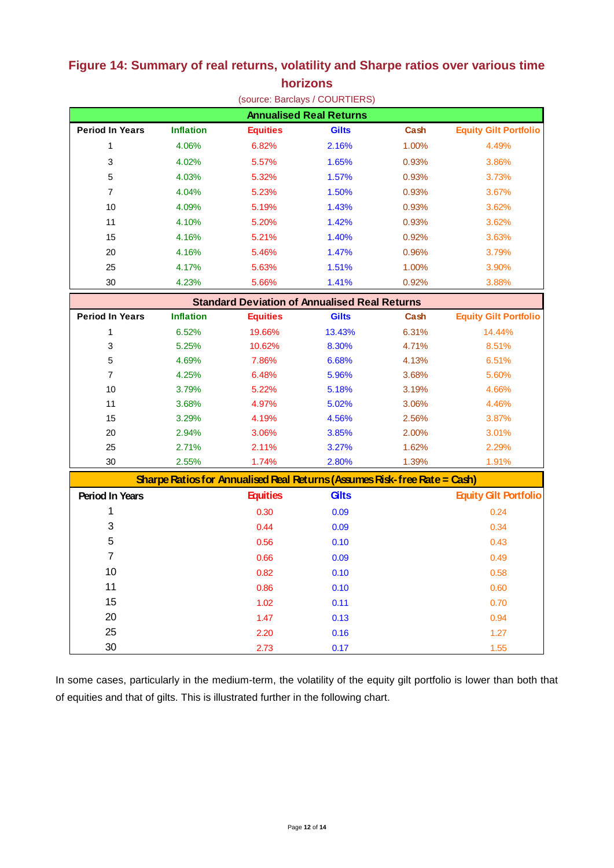|                                                      |                  |                                                                           | (source: Barclays / COURTIERS) |       |                              |  |  |  |
|------------------------------------------------------|------------------|---------------------------------------------------------------------------|--------------------------------|-------|------------------------------|--|--|--|
| <b>Annualised Real Returns</b>                       |                  |                                                                           |                                |       |                              |  |  |  |
| <b>Period In Years</b>                               | <b>Inflation</b> | <b>Equities</b>                                                           | <b>Gilts</b>                   | Cash  | <b>Equity Gilt Portfolio</b> |  |  |  |
| 1                                                    | 4.06%            | 6.82%                                                                     | 2.16%                          | 1.00% | 4.49%                        |  |  |  |
| 3                                                    | 4.02%            | 5.57%                                                                     | 1.65%                          | 0.93% | 3.86%                        |  |  |  |
| 5                                                    | 4.03%            | 5.32%                                                                     | 1.57%                          | 0.93% | 3.73%                        |  |  |  |
| 7                                                    | 4.04%            | 5.23%                                                                     | 1.50%                          | 0.93% | 3.67%                        |  |  |  |
| 10                                                   | 4.09%            | 5.19%                                                                     | 1.43%                          | 0.93% | 3.62%                        |  |  |  |
| 11                                                   | 4.10%            | 5.20%                                                                     | 1.42%                          | 0.93% | 3.62%                        |  |  |  |
| 15                                                   | 4.16%            | 5.21%                                                                     | 1.40%                          | 0.92% | 3.63%                        |  |  |  |
| 20                                                   | 4.16%            | 5.46%                                                                     | 1.47%                          | 0.96% | 3.79%                        |  |  |  |
| 25                                                   | 4.17%            | 5.63%                                                                     | 1.51%                          | 1.00% | 3.90%                        |  |  |  |
| 30                                                   | 4.23%            | 5.66%                                                                     | 1.41%                          | 0.92% | 3.88%                        |  |  |  |
| <b>Standard Deviation of Annualised Real Returns</b> |                  |                                                                           |                                |       |                              |  |  |  |
| <b>Period In Years</b>                               | <b>Inflation</b> | <b>Equities</b>                                                           | <b>Gilts</b>                   | Cash  | <b>Equity Gilt Portfolio</b> |  |  |  |
| 1                                                    | 6.52%            | 19.66%                                                                    | 13.43%                         | 6.31% | 14.44%                       |  |  |  |
| 3                                                    | 5.25%            | 10.62%                                                                    | 8.30%                          | 4.71% | 8.51%                        |  |  |  |
| 5                                                    | 4.69%            | 7.86%                                                                     | 6.68%                          | 4.13% | 6.51%                        |  |  |  |
| $\overline{7}$                                       | 4.25%            | 6.48%                                                                     | 5.96%                          | 3.68% | 5.60%                        |  |  |  |
| 10                                                   | 3.79%            | 5.22%                                                                     | 5.18%                          | 3.19% | 4.66%                        |  |  |  |
| 11                                                   | 3.68%            | 4.97%                                                                     | 5.02%                          | 3.06% | 4.46%                        |  |  |  |
| 15                                                   | 3.29%            | 4.19%                                                                     | 4.56%                          | 2.56% | 3.87%                        |  |  |  |
| 20                                                   | 2.94%            | 3.06%                                                                     | 3.85%                          | 2.00% | 3.01%                        |  |  |  |
| 25                                                   | 2.71%            | 2.11%                                                                     | 3.27%                          | 1.62% | 2.29%                        |  |  |  |
| 30                                                   | 2.55%            | 1.74%                                                                     | 2.80%                          | 1.39% | 1.91%                        |  |  |  |
|                                                      |                  | Sharpe Ratios for Annualised Real Returns (Assumes Risk-free Rate = Cash) |                                |       |                              |  |  |  |
| <b>Period In Years</b>                               |                  | <b>Equities</b>                                                           | Gilts                          |       | <b>Equity Gilt Portfolio</b> |  |  |  |
| 1                                                    |                  | 0.30                                                                      | 0.09                           |       | 0.24                         |  |  |  |
| 3                                                    |                  | 0.44                                                                      | 0.09                           |       | 0.34                         |  |  |  |
| 5                                                    |                  | 0.56                                                                      | 0.10                           |       | 0.43                         |  |  |  |
| $\overline{7}$                                       |                  | 0.66                                                                      | 0.09                           |       | 0.49                         |  |  |  |
| 10                                                   |                  | 0.82                                                                      | 0.10                           |       | 0.58                         |  |  |  |
| 11                                                   |                  | 0.86                                                                      | 0.10                           |       | 0.60                         |  |  |  |
| 15                                                   |                  | 1.02                                                                      | 0.11                           |       | 0.70                         |  |  |  |
| 20                                                   |                  | 1.47                                                                      | 0.13                           |       | 0.94                         |  |  |  |
| 25                                                   |                  | 2.20                                                                      | 0.16                           |       | $1.27$                       |  |  |  |
| 30                                                   |                  | 2.73                                                                      | 0.17                           |       | 1.55                         |  |  |  |

#### **Figure 14: Summary of real returns, volatility and Sharpe ratios over various time horizons**

In some cases, particularly in the medium-term, the volatility of the equity gilt portfolio is lower than both that of equities and that of gilts. This is illustrated further in the following chart.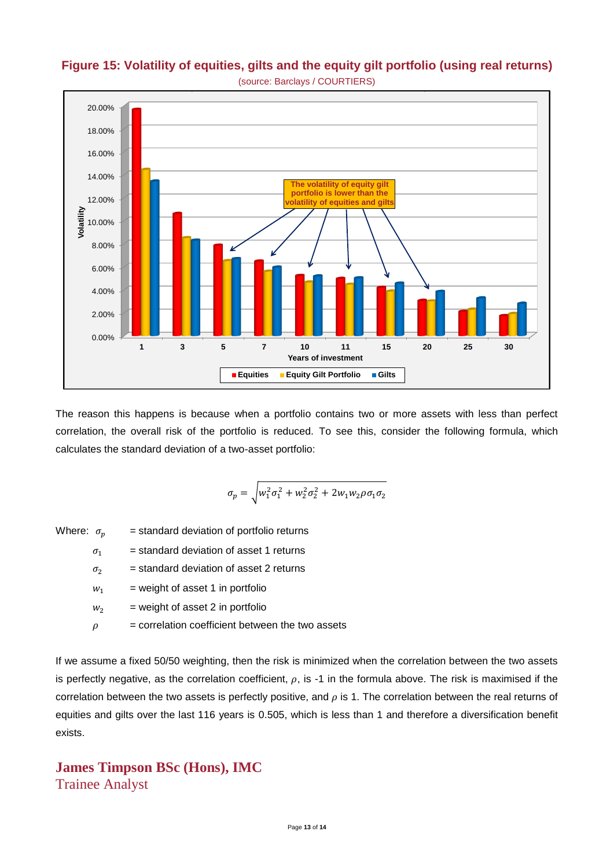

**Figure 15: Volatility of equities, gilts and the equity gilt portfolio (using real returns)**

The reason this happens is because when a portfolio contains two or more assets with less than perfect correlation, the overall risk of the portfolio is reduced. To see this, consider the following formula, which calculates the standard deviation of a two-asset portfolio:

$$
\sigma_p = \sqrt{w_1^2 \sigma_1^2 + w_2^2 \sigma_2^2 + 2w_1 w_2 \rho \sigma_1 \sigma_2}
$$

Where:  $\sigma_n$  = standard deviation of portfolio returns

 $\sigma_1$  = standard deviation of asset 1 returns

 $\sigma_2$  = standard deviation of asset 2 returns

 $w_1$  = weight of asset 1 in portfolio

 $w_2$  = weight of asset 2 in portfolio

 $\rho$  = correlation coefficient between the two assets

If we assume a fixed 50/50 weighting, then the risk is minimized when the correlation between the two assets is perfectly negative, as the correlation coefficient,  $\rho$ , is -1 in the formula above. The risk is maximised if the correlation between the two assets is perfectly positive, and  $\rho$  is 1. The correlation between the real returns of equities and gilts over the last 116 years is 0.505, which is less than 1 and therefore a diversification benefit exists.

### **James Timpson BSc (Hons), IMC** Trainee Analyst